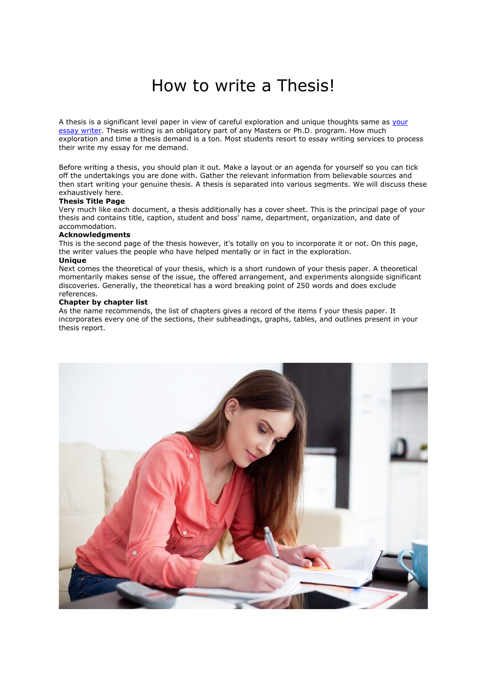# How to write a Thesis!

A thesis is a significant level paper in view of careful exploration and unique thoughts same as your [essay writer.](https://youressaywriter.net/) Thesis writing is an obligatory part of any Masters or Ph.D. program. How much exploration and time a thesis demand is a ton. Most students resort to essay writing services to process their write my essay for me demand.

Before writing a thesis, you should plan it out. Make a layout or an agenda for yourself so you can tick off the undertakings you are done with. Gather the relevant information from believable sources and then start writing your genuine thesis. A thesis is separated into various segments. We will discuss these exhaustively here.

## **Thesis Title Page**

Very much like each document, a thesis additionally has a cover sheet. This is the principal page of your thesis and contains title, caption, student and boss' name, department, organization, and date of accommodation.

# **Acknowledgments**

This is the second page of the thesis however, it's totally on you to incorporate it or not. On this page, the writer values the people who have helped mentally or in fact in the exploration.

# **Unique**

Next comes the theoretical of your thesis, which is a short rundown of your thesis paper. A theoretical momentarily makes sense of the issue, the offered arrangement, and experiments alongside significant discoveries. Generally, the theoretical has a word breaking point of 250 words and does exclude references.

## **Chapter by chapter list**

As the name recommends, the list of chapters gives a record of the items f your thesis paper. It incorporates every one of the sections, their subheadings, graphs, tables, and outlines present in your thesis report.